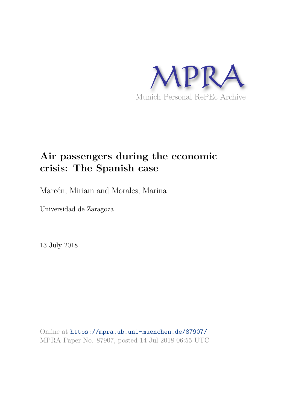

# **Air passengers during the economic crisis: The Spanish case**

Marcén, Miriam and Morales, Marina

Universidad de Zaragoza

13 July 2018

Online at https://mpra.ub.uni-muenchen.de/87907/ MPRA Paper No. 87907, posted 14 Jul 2018 06:55 UTC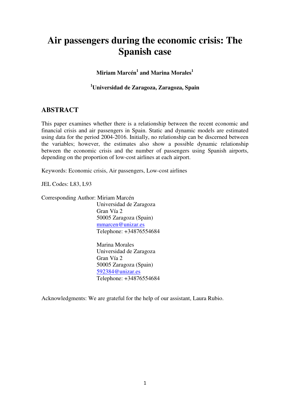## **Air passengers during the economic crisis: The Spanish case**

**Miriam Marcén<sup>1</sup> and Marina Morales<sup>1</sup>**

**<sup>1</sup>Universidad de Zaragoza, Zaragoza, Spain** 

## **ABSTRACT**

This paper examines whether there is a relationship between the recent economic and financial crisis and air passengers in Spain. Static and dynamic models are estimated using data for the period 2004-2016. Initially, no relationship can be discerned between the variables; however, the estimates also show a possible dynamic relationship between the economic crisis and the number of passengers using Spanish airports, depending on the proportion of low-cost airlines at each airport.

Keywords: Economic crisis, Air passengers, Low-cost airlines

JEL Codes: L83, L93

Corresponding Author: Miriam Marcén

Universidad de Zaragoza Gran Vía 2 50005 Zaragoza (Spain) mmarcen@unizar.es Telephone: +34876554684

Marina Morales Universidad de Zaragoza Gran Vía 2 50005 Zaragoza (Spain) 592384@unizar.es Telephone: +34876554684

Acknowledgments: We are grateful for the help of our assistant, Laura Rubio.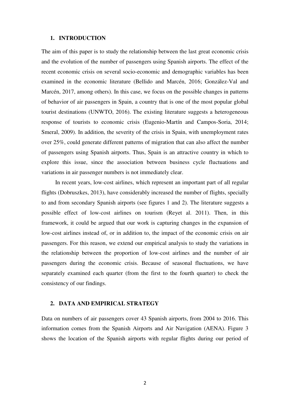### **1. INTRODUCTION**

The aim of this paper is to study the relationship between the last great economic crisis and the evolution of the number of passengers using Spanish airports. The effect of the recent economic crisis on several socio-economic and demographic variables has been examined in the economic literature (Bellido and Marcén, 2016; González-Val and Marcén, 2017, among others). In this case, we focus on the possible changes in patterns of behavior of air passengers in Spain, a country that is one of the most popular global tourist destinations (UNWTO, 2016). The existing literature suggests a heterogeneous response of tourists to economic crisis (Eugenio-Martín and Campos-Soria, 2014; Smeral, 2009). In addition, the severity of the crisis in Spain, with unemployment rates over 25%, could generate different patterns of migration that can also affect the number of passengers using Spanish airports. Thus, Spain is an attractive country in which to explore this issue, since the association between business cycle fluctuations and variations in air passenger numbers is not immediately clear.

In recent years, low-cost airlines, which represent an important part of all regular flights (Dobruszkes, 2013), have considerably increased the number of flights, specially to and from secondary Spanish airports (see figures 1 and 2). The literature suggests a possible effect of low-cost airlines on tourism (Reyet al. 2011). Then, in this framework, it could be argued that our work is capturing changes in the expansion of low-cost airlines instead of, or in addition to, the impact of the economic crisis on air passengers. For this reason, we extend our empirical analysis to study the variations in the relationship between the proportion of low-cost airlines and the number of air passengers during the economic crisis. Because of seasonal fluctuations, we have separately examined each quarter (from the first to the fourth quarter) to check the consistency of our findings.

## **2. DATA AND EMPIRICAL STRATEGY**

Data on numbers of air passengers cover 43 Spanish airports, from 2004 to 2016. This information comes from the Spanish Airports and Air Navigation (AENA). Figure 3 shows the location of the Spanish airports with regular flights during our period of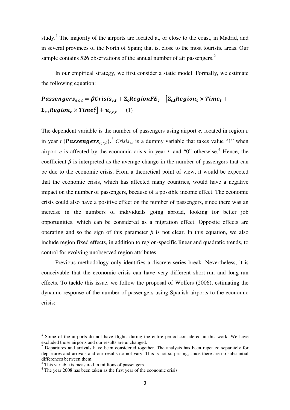study.<sup>[1](#page-3-0)</sup> The majority of the airports are located at, or close to the coast, in Madrid, and in several provinces of the North of Spain; that is, close to the most touristic areas. Our sample contains 5[2](#page-3-1)6 observations of the annual number of air passengers.<sup>2</sup>

In our empirical strategy, we first consider a static model. Formally, we estimate the following equation:

## Passengers<sub>e.ct</sub> =  $\beta$ Crisis<sub>et</sub> +  $\Sigma_c$ RegionFE<sub>c</sub>+  $\Sigma_c$ <sub>t</sub>Region<sub>c</sub> × Time<sub>t</sub> +  $\boldsymbol{\Sigma}_{\mathbf{c},\mathbf{t}} \boldsymbol{Region}_c \times \boldsymbol{Time}^2_t \boldsymbol{\Big]} + \boldsymbol{u}_{e,c,t}$ (1)

The dependent variable is the number of passengers using airport *e*, located in region *c* in year *t* (**Passengers**<sub>e,c,t</sub>).<sup>[3](#page-3-2)</sup> *Crisis*<sub>e,t</sub> is a dummy variable that takes value "1" when airport *e* is affected by the economic crisis in year *t*, and "0" otherwise.<sup>[4](#page-3-3)</sup> Hence, the coefficient  $\beta$  is interpreted as the average change in the number of passengers that can be due to the economic crisis. From a theoretical point of view, it would be expected that the economic crisis, which has affected many countries, would have a negative impact on the number of passengers, because of a possible income effect. The economic crisis could also have a positive effect on the number of passengers, since there was an increase in the numbers of individuals going abroad, looking for better job opportunities, which can be considered as a migration effect. Opposite effects are operating and so the sign of this parameter  $\beta$  is not clear. In this equation, we also include region fixed effects, in addition to region-specific linear and quadratic trends, to control for evolving unobserved region attributes.

Previous methodology only identifies a discrete series break. Nevertheless, it is conceivable that the economic crisis can have very different short-run and long-run effects. To tackle this issue, we follow the proposal of Wolfers (2006), estimating the dynamic response of the number of passengers using Spanish airports to the economic crisis:

 $\overline{a}$ 

<span id="page-3-0"></span><sup>&</sup>lt;sup>1</sup> Some of the airports do not have flights during the entire period considered in this work. We have excluded those airports and our results are unchanged.

<span id="page-3-1"></span> $2$  Departures and arrivals have been considered together. The analysis has been repeated separately for departures and arrivals and our results do not vary. This is not surprising, since there are no substantial differences between them.

 $3$  This variable is measured in millions of passengers.

<span id="page-3-3"></span><span id="page-3-2"></span><sup>&</sup>lt;sup>4</sup> The year 2008 has been taken as the first year of the economic crisis.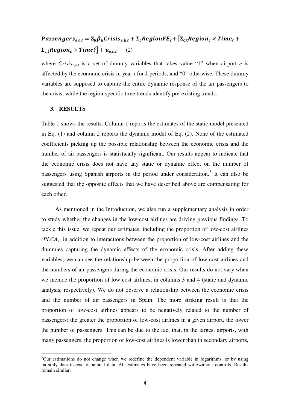## Passengers<sub>e.c,t</sub> =  $\Sigma_k \beta_k$ Crisis<sub>e,k,t</sub> +  $\Sigma_c$ RegionFE<sub>c</sub>+  $[\Sigma_c$ <sub>t</sub>Region<sub>c</sub> × Time<sub>t</sub> +  $\Sigma_{c,t}$ Region<sub>c</sub> × Time<sub>t</sub><sup>2</sup>] +  $u_{e,c,t}$  (2)

where *Crisis<sub>ekt</sub>* is a set of dummy variables that takes value "1" when airport *e* is affected by the economic crisis in year *t* for *k* periods, and "0" otherwise. These dummy variables are supposed to capture the entire dynamic response of the air passengers to the crisis, while the region-specific time trends identify pre-existing trends.

### **3. RESULTS**

 $\overline{a}$ 

Table 1 shows the results. Column 1 reports the estimates of the static model presented in Eq. (1) and column 2 reports the dynamic model of Eq. (2). None of the estimated coefficients picking up the possible relationship between the economic crisis and the number of air passengers is statistically significant. Our results appear to indicate that the economic crisis does not have any static or dynamic effect on the number of passengers using Spanish airports in the period under consideration.<sup>[5](#page-4-0)</sup> It can also be suggested that the opposite effects that we have described above are compensating for each other.

As mentioned in the Introduction, we also run a supplementary analysis in order to study whether the changes in the low-cost airlines are driving previous findings. To tackle this issue, we repeat our estimates, including the proportion of low-cost airlines *(PLCA),* in addition to interactions between the proportion of low-cost airlines and the dummies capturing the dynamic effects of the economic crisis. After adding these variables, we can see the relationship between the proportion of low-cost airlines and the numbers of air passengers during the economic crisis. Our results do not vary when we include the proportion of low cost airlines, in columns 3 and 4 (static and dynamic analysis, respectively). We do not observe a relationship between the economic crisis and the number of air passengers in Spain. The more striking result is that the proportion of low-cost airlines appears to be negatively related to the number of passengers: the greater the proportion of low-cost airlines in a given airport, the lower the number of passengers. This can be due to the fact that, in the largest airports, with many passengers, the proportion of low-cost airlines is lower than in secondary airports,

<span id="page-4-0"></span><sup>&</sup>lt;sup>5</sup>Our estimations do not change when we redefine the dependent variable in logarithms, or by using monthly data instead of annual data. All estimates have been repeated with/without controls. Results remain similar.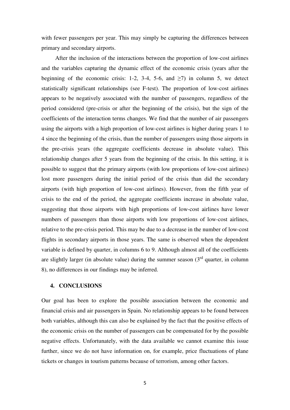with fewer passengers per year. This may simply be capturing the differences between primary and secondary airports.

After the inclusion of the interactions between the proportion of low-cost airlines and the variables capturing the dynamic effect of the economic crisis (years after the beginning of the economic crisis: 1-2, 3-4, 5-6, and  $\geq$ 7) in column 5, we detect statistically significant relationships (see F-test). The proportion of low-cost airlines appears to be negatively associated with the number of passengers, regardless of the period considered (pre-crisis or after the beginning of the crisis), but the sign of the coefficients of the interaction terms changes. We find that the number of air passengers using the airports with a high proportion of low-cost airlines is higher during years 1 to 4 since the beginning of the crisis, than the number of passengers using those airports in the pre-crisis years (the aggregate coefficients decrease in absolute value). This relationship changes after 5 years from the beginning of the crisis. In this setting, it is possible to suggest that the primary airports (with low proportions of low-cost airlines) lost more passengers during the initial period of the crisis than did the secondary airports (with high proportion of low-cost airlines). However, from the fifth year of crisis to the end of the period, the aggregate coefficients increase in absolute value, suggesting that those airports with high proportions of low-cost airlines have lower numbers of passengers than those airports with low proportions of low-cost airlines, relative to the pre-crisis period. This may be due to a decrease in the number of low-cost flights in secondary airports in those years. The same is observed when the dependent variable is defined by quarter, in columns 6 to 9. Although almost all of the coefficients are slightly larger (in absolute value) during the summer season  $3<sup>rd</sup>$  quarter, in column 8), no differences in our findings may be inferred.

### **4. CONCLUSIONS**

Our goal has been to explore the possible association between the economic and financial crisis and air passengers in Spain. No relationship appears to be found between both variables, although this can also be explained by the fact that the positive effects of the economic crisis on the number of passengers can be compensated for by the possible negative effects. Unfortunately, with the data available we cannot examine this issue further, since we do not have information on, for example, price fluctuations of plane tickets or changes in tourism patterns because of terrorism, among other factors.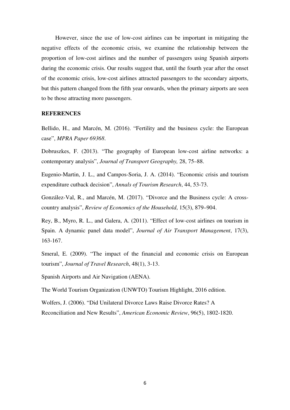However, since the use of low-cost airlines can be important in mitigating the negative effects of the economic crisis, we examine the relationship between the proportion of low-cost airlines and the number of passengers using Spanish airports during the economic crisis. Our results suggest that, until the fourth year after the onset of the economic crisis, low-cost airlines attracted passengers to the secondary airports, but this pattern changed from the fifth year onwards, when the primary airports are seen to be those attracting more passengers.

#### **REFERENCES**

Bellido, H., and Marcén, M. (2016). "Fertility and the business cycle: the European case", *MPRA Paper 69368*.

Dobruszkes, F. (2013). "The geography of European low-cost airline networks: a contemporary analysis", *Journal of Transport Geography,* 28, 75–88.

Eugenio-Martin, J. L., and Campos-Soria, J. A. (2014). "Economic crisis and tourism expenditure cutback decision", *Annals of Tourism Research*, 44, 53-73.

González-Val, R., and Marcén, M. (2017). "Divorce and the Business cycle: A crosscountry analysis", *Review of Economics of the Household*, 15(3), 879–904.

Rey, B., Myro, R. L., and Galera, A. (2011). "Effect of low-cost airlines on tourism in Spain. A dynamic panel data model", *Journal of Air Transport Management*, 17(3), 163-167.

Smeral, E. (2009). "The impact of the financial and economic crisis on European tourism", *Journal of Travel Research*, 48(1), 3-13.

Spanish Airports and Air Navigation (AENA).

The World Tourism Organization (UNWTO) Tourism Highlight, 2016 edition.

Wolfers, J. (2006). "Did Unilateral Divorce Laws Raise Divorce Rates? A

Reconciliation and New Results", *American Economic Review*, 96(5), 1802-1820.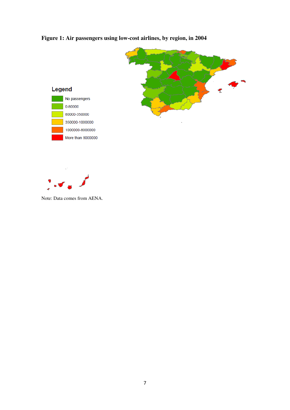





 $\mathbf{e}^{\mathcal{A}}$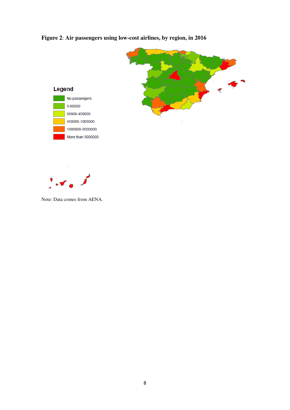



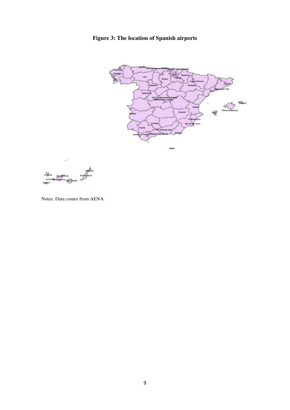**Figure 3: The location of Spanish airports**





Notes: Data comes from AENA.